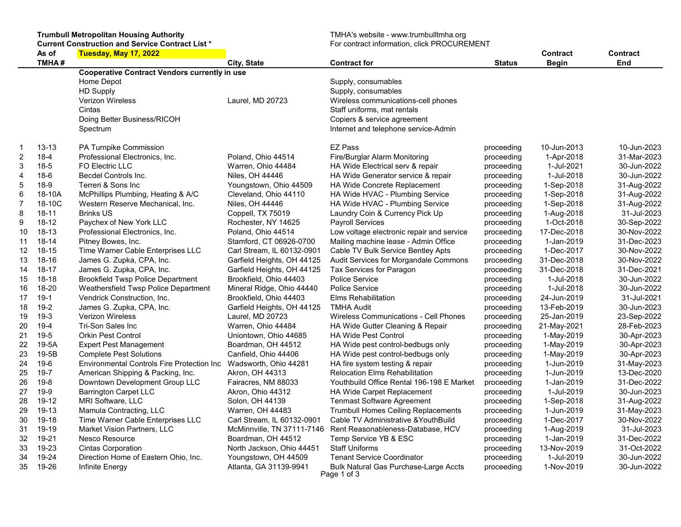Trumbull Metropolitan Housing Authority TMHA's website - www.trumbulltmha.org Current Construction and Service Contract List \* The Service of the Service of Termination, click PROCUREMENT

|                  | As of     | Tuesday, May 17, 2022                                |                            |                                              |               | Contract     | <b>Contract</b> |
|------------------|-----------|------------------------------------------------------|----------------------------|----------------------------------------------|---------------|--------------|-----------------|
|                  | TMHA#     |                                                      | City, State                | <b>Contract for</b>                          | <b>Status</b> | <b>Begin</b> | End             |
|                  |           | <b>Cooperative Contract Vendors currently in use</b> |                            |                                              |               |              |                 |
|                  |           | Home Depot                                           |                            | Supply, consumables                          |               |              |                 |
|                  |           | <b>HD Supply</b>                                     |                            | Supply, consumables                          |               |              |                 |
|                  |           | <b>Verizon Wireless</b>                              | Laurel, MD 20723           | Wireless communications-cell phones          |               |              |                 |
|                  |           | Cintas                                               |                            | Staff uniforms, mat rentals                  |               |              |                 |
|                  |           | Doing Better Business/RICOH                          |                            | Copiers & service agreement                  |               |              |                 |
|                  |           | Spectrum                                             |                            | Internet and telephone service-Admin         |               |              |                 |
| $\mathbf 1$      | $13 - 13$ | PA Turnpike Commission                               |                            | <b>EZ Pass</b>                               | proceeding    | 10-Jun-2013  | 10-Jun-2023     |
| $\boldsymbol{2}$ | $18 - 4$  | Professional Electronics, Inc.                       | Poland, Ohio 44514         | Fire/Burglar Alarm Monitoring                | proceeding    | 1-Apr-2018   | 31-Mar-2023     |
| $\sqrt{3}$       | $18-5$    | <b>FO Electric LLC</b>                               | Warren, Ohio 44484         | HA Wide Electrical serv & repair             | proceeding    | 1-Jul-2021   | 30-Jun-2022     |
| $\overline{4}$   | $18-6$    | <b>Becdel Controls Inc.</b>                          | Niles, OH 44446            | HA Wide Generator service & repair           | proceeding    | 1-Jul-2018   | 30-Jun-2022     |
| 5                | $18-9$    | Terreri & Sons Inc                                   | Youngstown, Ohio 44509     | <b>HA Wide Concrete Replacement</b>          | proceeding    | 1-Sep-2018   | 31-Aug-2022     |
| $6\phantom{1}6$  | 18-10A    | McPhillips Plumbing, Heating & A/C                   | Cleveland, Ohio 44110      | HA Wide HVAC - Plumbing Service              | proceeding    | 1-Sep-2018   | 31-Aug-2022     |
| $\overline{7}$   | 18-10C    | Western Reserve Mechanical, Inc.                     | Niles, OH 44446            | HA Wide HVAC - Plumbing Service              | proceeding    | 1-Sep-2018   | 31-Aug-2022     |
| 8                | $18 - 11$ | <b>Brinks US</b>                                     | Coppell, TX 75019          | Laundry Coin & Currency Pick Up              | proceeding    | 1-Aug-2018   | 31-Jul-2023     |
| 9                | $18 - 12$ | Paychex of New York LLC                              | Rochester, NY 14625        | Payroll Services                             | proceeding    | 1-Oct-2018   | 30-Sep-2022     |
| 10               | 18-13     | Professional Electronics, Inc.                       | Poland, Ohio 44514         | Low voltage electronic repair and service    | proceeding    | 17-Dec-2018  | 30-Nov-2022     |
| 11               | 18-14     | Pitney Bowes, Inc.                                   | Stamford, CT 06926-0700    | Mailing machine lease - Admin Office         | proceeding    | 1-Jan-2019   | 31-Dec-2023     |
| 12               | $18 - 15$ | Time Warner Cable Enterprises LLC                    | Carl Stream, IL 60132-0901 | Cable TV Bulk Service Bentley Apts           | proceeding    | 1-Dec-2017   | 30-Nov-2022     |
| 13               | 18-16     | James G. Zupka, CPA, Inc.                            | Garfield Heights, OH 44125 | Audit Services for Morgandale Commons        | proceeding    | 31-Dec-2018  | 30-Nov-2022     |
| 14               | $18 - 17$ | James G. Zupka, CPA, Inc.                            | Garfield Heights, OH 44125 | Tax Services for Paragon                     | proceeding    | 31-Dec-2018  | 31-Dec-2021     |
| 15               | 18-18     | <b>Brookfield Twsp Police Department</b>             | Brookfield, Ohio 44403     | <b>Police Service</b>                        | proceeding    | 1-Jul-2018   | 30-Jun-2022     |
| 16               | 18-20     | Weathersfield Twsp Police Department                 | Mineral Ridge, Ohio 44440  | <b>Police Service</b>                        | proceeding    | 1-Jul-2018   | 30-Jun-2022     |
| 17               | $19-1$    | Vendrick Construction, Inc.                          | Brookfield, Ohio 44403     | <b>Elms Rehabilitation</b>                   | proceeding    | 24-Jun-2019  | 31-Jul-2021     |
| 18               | $19-2$    | James G. Zupka, CPA, Inc.                            | Garfield Heights, OH 44125 | <b>TMHA Audit</b>                            | proceeding    | 13-Feb-2019  | 30-Jun-2023     |
| 19               | $19-3$    | <b>Verizon Wireless</b>                              | Laurel, MD 20723           | <b>Wireless Communications - Cell Phones</b> | proceeding    | 25-Jan-2019  | 23-Sep-2022     |
| 20               | $19-4$    | Tri-Son Sales Inc                                    | Warren, Ohio 44484         | HA Wide Gutter Cleaning & Repair             | proceeding    | 21-May-2021  | 28-Feb-2023     |
| 21               | $19-5$    | <b>Orkin Pest Control</b>                            | Uniontown, Ohio 44685      | <b>HA Wide Pest Control</b>                  | proceeding    | 1-May-2019   | 30-Apr-2023     |
| 22               | 19-5A     | <b>Expert Pest Management</b>                        | Boardman, OH 44512         | HA Wide pest control-bedbugs only            | proceeding    | 1-May-2019   | 30-Apr-2023     |
| 23               | 19-5B     | <b>Complete Pest Solutions</b>                       | Canfield, Ohio 44406       | HA Wide pest control-bedbugs only            | proceeding    | 1-May-2019   | 30-Apr-2023     |
| 24               | $19-6$    | <b>Environmental Controls Fire Protection Inc</b>    | Wadsworth, Ohio 44281      | HA fire system testing & repair              | proceeding    | 1-Jun-2019   | 31-May-2023     |
| 25               | $19 - 7$  | American Shipping & Packing, Inc.                    | Akron, OH 44313            | <b>Relocation Elms Rehabilitation</b>        | proceeding    | 1-Jun-2019   | 13-Dec-2020     |
| 26               | $19-8$    | Downtown Development Group LLC                       | Fairacres, NM 88033        | Youthbuild Office Rental 196-198 E Market    | proceeding    | 1-Jan-2019   | 31-Dec-2022     |
| 27               | $19-9$    | <b>Barrington Carpet LLC</b>                         | Akron, Ohio 44312          | HA Wide Carpet Replacement                   | proceeding    | 1-Jul-2019   | 30-Jun-2023     |
| 28               | 19-12     | MRI Software, LLC                                    | Solon, OH 44139            | <b>Tenmast Software Agreement</b>            | proceeding    | 1-Sep-2018   | 31-Aug-2022     |
| 29               | $19-13$   | Mamula Contracting, LLC                              | Warren, OH 44483           | <b>Trumbull Homes Ceiling Replacements</b>   | proceeding    | 1-Jun-2019   | 31-May-2023     |
| 30               | 19-18     | Time Warner Cable Enterprises LLC                    | Carl Stream, IL 60132-0901 | Cable TV Administrative & Youth Build        | proceeding    | 1-Dec-2017   | 30-Nov-2022     |
| 31               | 19-19     | <b>Market Vision Partners, LLC</b>                   | McMinnville, TN 37111-7146 | Rent Reasonableness-Database, HCV            | proceeding    | 1-Aug-2019   | 31-Jul-2023     |
| 32               | 19-21     | Nesco Resource                                       | Boardman, OH 44512         | Temp Service YB & ESC                        | proceeding    | 1-Jan-2019   | 31-Dec-2022     |
| 33               | 19-23     | <b>Cintas Corporation</b>                            | North Jackson, Ohio 44451  | <b>Staff Uniforms</b>                        | proceeding    | 13-Nov-2019  | 31-Oct-2022     |
| 34               | 19-24     | Direction Home of Eastern Ohio, Inc.                 | Youngstown, OH 44509       | <b>Tenant Service Coordinator</b>            | proceeding    | 1-Jul-2019   | 30-Jun-2022     |
| 35               | 19-26     | Infinite Energy                                      | Atlanta, GA 31139-9941     | <b>Bulk Natural Gas Purchase-Large Accts</b> | proceeding    | 1-Nov-2019   | 30-Jun-2022     |
|                  |           |                                                      |                            | Page 1 of 3                                  |               |              |                 |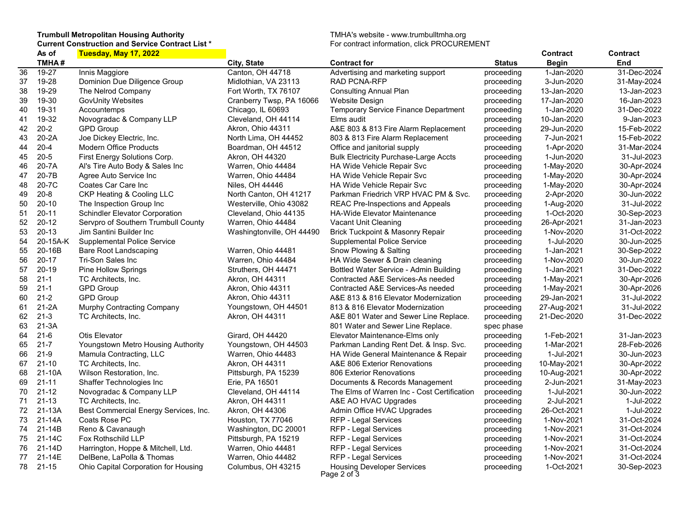## Trumbull Metropolitan Housing Authority TMHA's website - www.trumbulltmha.org Current Construction and Service Contract List \* The Service of the Service of Termination, click PROCUREMENT

|    | As of     | Tuesday, May 17, 2022                 |                           |                                              |               | Contract    | Contract    |
|----|-----------|---------------------------------------|---------------------------|----------------------------------------------|---------------|-------------|-------------|
|    | TMHA#     |                                       | City, State               | Contract for                                 | <b>Status</b> | Begin       | End         |
| 36 | 19-27     | Innis Maggiore                        | Canton, OH 44718          | Advertising and marketing support            | proceeding    | 1-Jan-2020  | 31-Dec-2024 |
| 37 | 19-28     | Dominion Due Diligence Group          | Midlothian, VA 23113      | RAD PCNA-RFP                                 | proceeding    | 3-Jun-2020  | 31-May-2024 |
| 38 | 19-29     | The Nelrod Company                    | Fort Worth, TX 76107      | <b>Consulting Annual Plan</b>                | proceeding    | 13-Jan-2020 | 13-Jan-2023 |
| 39 | 19-30     | <b>GovUnity Websites</b>              | Cranberry Twsp, PA 16066  | <b>Website Design</b>                        | proceeding    | 17-Jan-2020 | 16-Jan-2023 |
| 40 | 19-31     | Accountemps                           | Chicago, IL 60693         | Temporary Service Finance Department         | proceeding    | 1-Jan-2020  | 31-Dec-2022 |
| 41 | 19-32     | Novogradac & Company LLP              | Cleveland, OH 44114       | Elms audit                                   | proceeding    | 10-Jan-2020 | 9-Jan-2023  |
| 42 | $20 - 2$  | <b>GPD Group</b>                      | Akron, Ohio 44311         | A&E 803 & 813 Fire Alarm Replacement         | proceeding    | 29-Jun-2020 | 15-Feb-2022 |
| 43 | 20-2A     | Joe Dickey Electric, Inc.             | North Lima, OH 44452      | 803 & 813 Fire Alarm Replacement             | proceeding    | 7-Jun-2021  | 15-Feb-2022 |
| 44 | $20 - 4$  | Modern Office Products                | Boardman, OH 44512        | Office and janitorial supply                 | proceeding    | 1-Apr-2020  | 31-Mar-2024 |
| 45 | $20 - 5$  | First Energy Solutions Corp.          | Akron, OH 44320           | <b>Bulk Electricity Purchase-Large Accts</b> | proceeding    | 1-Jun-2020  | 31-Jul-2023 |
| 46 | 20-7A     | Al's Tire Auto Body & Sales Inc       | Warren, Ohio 44484        | <b>HA Wide Vehicle Repair Svc</b>            | proceeding    | 1-May-2020  | 30-Apr-2024 |
| 47 | 20-7B     | Agree Auto Service Inc                | Warren, Ohio 44484        | <b>HA Wide Vehicle Repair Svc</b>            | proceeding    | 1-May-2020  | 30-Apr-2024 |
| 48 | 20-7C     | Coates Car Care Inc                   | Niles, OH 44446           | <b>HA Wide Vehicle Repair Svc</b>            | proceeding    | 1-May-2020  | 30-Apr-2024 |
| 49 | $20 - 8$  | <b>CKP Heating &amp; Cooling LLC</b>  | North Canton, OH 41217    | Parkman Friedrich VRP HVAC PM & Svc.         | proceeding    | 2-Apr-2020  | 30-Jun-2022 |
| 50 | $20 - 10$ | The Inspection Group Inc              | Westerville, Ohio 43082   | <b>REAC Pre-Inspections and Appeals</b>      | proceeding    | 1-Aug-2020  | 31-Jul-2022 |
| 51 | $20 - 11$ | <b>Schindler Elevator Corporation</b> | Cleveland, Ohio 44135     | <b>HA-Wide Elevator Maintenance</b>          | proceeding    | 1-Oct-2020  | 30-Sep-2023 |
| 52 | $20 - 12$ | Servpro of Southern Trumbull County   | Warren, Ohio 44484        | Vacant Unit Cleaning                         | proceeding    | 26-Apr-2021 | 31-Jan-2023 |
| 53 | $20 - 13$ | Jim Santini Builder Inc               | Washingtonville, OH 44490 | Brick Tuckpoint & Masonry Repair             | proceeding    | 1-Nov-2020  | 31-Oct-2022 |
| 54 | 20-15A-K  | <b>Supplemental Police Service</b>    |                           | <b>Supplemental Police Service</b>           | proceeding    | 1-Jul-2020  | 30-Jun-2025 |
| 55 | 20-16B    | Bare Root Landscaping                 | Warren, Ohio 44481        | Snow Plowing & Salting                       | proceeding    | 1-Jan-2021  | 30-Sep-2022 |
| 56 | $20 - 17$ | Tri-Son Sales Inc                     | Warren, Ohio 44484        | HA Wide Sewer & Drain cleaning               | proceeding    | 1-Nov-2020  | 30-Jun-2022 |
| 57 | $20 - 19$ | Pine Hollow Springs                   | Struthers, OH 44471       | Bottled Water Service - Admin Building       | proceeding    | 1-Jan-2021  | 31-Dec-2022 |
| 58 | $21 - 1$  | TC Architects, Inc.                   | Akron, OH 44311           | Contracted A&E Services-As needed            | proceeding    | 1-May-2021  | 30-Apr-2026 |
| 59 | $21 - 1$  | <b>GPD Group</b>                      | Akron, Ohio 44311         | Contracted A&E Services-As needed            | proceeding    | 1-May-2021  | 30-Apr-2026 |
| 60 | $21 - 2$  | <b>GPD Group</b>                      | Akron, Ohio 44311         | A&E 813 & 816 Elevator Modernization         | proceeding    | 29-Jan-2021 | 31-Jul-2022 |
| 61 | $21-2A$   | Murphy Contracting Company            | Youngstown, OH 44501      | 813 & 816 Elevator Modernization             | proceeding    | 27-Aug-2021 | 31-Jul-2022 |
| 62 | $21 - 3$  | TC Architects, Inc.                   | Akron, OH 44311           | A&E 801 Water and Sewer Line Replace.        | proceeding    | 21-Dec-2020 | 31-Dec-2022 |
| 63 | $21-3A$   |                                       |                           | 801 Water and Sewer Line Replace.            | spec phase    |             |             |
| 64 | $21-6$    | Otis Elevator                         | Girard, OH 44420          | Elevator Maintenance-Elms only               | proceeding    | 1-Feb-2021  | 31-Jan-2023 |
| 65 | $21 - 7$  | Youngstown Metro Housing Authority    | Youngstown, OH 44503      | Parkman Landing Rent Det. & Insp. Svc.       | proceeding    | 1-Mar-2021  | 28-Feb-2026 |
| 66 | $21 - 9$  | Mamula Contracting, LLC               | Warren, Ohio 44483        | HA Wide General Maintenance & Repair         | proceeding    | 1-Jul-2021  | 30-Jun-2023 |
| 67 | $21 - 10$ | TC Architects, Inc.                   | Akron, OH 44311           | A&E 806 Exterior Renovations                 | proceeding    | 10-May-2021 | 30-Apr-2022 |
| 68 | 21-10A    | Wilson Restoration, Inc.              | Pittsburgh, PA 15239      | 806 Exterior Renovations                     | proceeding    | 10-Aug-2021 | 30-Apr-2022 |
| 69 | $21 - 11$ | Shaffer Technologies Inc              | Erie, PA 16501            | Documents & Records Management               | proceeding    | 2-Jun-2021  | 31-May-2023 |
| 70 | $21 - 12$ | Novogradac & Company LLP              | Cleveland, OH 44114       | The Elms of Warren Inc - Cost Certification  | proceeding    | 1-Jul-2021  | 30-Jun-2022 |
| 71 | $21 - 13$ | TC Architects, Inc.                   | Akron, OH 44311           | A&E AO HVAC Upgrades                         | proceeding    | 2-Jul-2021  | 1-Jul-2022  |
| 72 | $21-13A$  | Best Commercial Energy Services, Inc. | Akron, OH 44306           | Admin Office HVAC Upgrades                   | proceeding    | 26-Oct-2021 | 1-Jul-2022  |
| 73 | 21-14A    | Coats Rose PC                         | Houston, TX 77046         | <b>RFP - Legal Services</b>                  | proceeding    | 1-Nov-2021  | 31-Oct-2024 |
| 74 | 21-14B    | Reno & Cavanaugh                      | Washington, DC 20001      | RFP - Legal Services                         | proceeding    | 1-Nov-2021  | 31-Oct-2024 |
| 75 | 21-14C    | Fox Rothschild LLP                    | Pittsburgh, PA 15219      | RFP - Legal Services                         | proceeding    | 1-Nov-2021  | 31-Oct-2024 |
| 76 | 21-14D    | Harrington, Hoppe & Mitchell, Ltd.    | Warren, Ohio 44481        | RFP - Legal Services                         | proceeding    | 1-Nov-2021  | 31-Oct-2024 |
| 77 | 21-14E    | DelBene, LaPolla & Thomas             | Warren, Ohio 44482        | RFP - Legal Services                         | proceeding    | 1-Nov-2021  | 31-Oct-2024 |
| 78 | 21-15     | Ohio Capital Corporation for Housing  | Columbus, OH 43215        | <b>Housing Developer Services</b>            | proceeding    | 1-Oct-2021  | 30-Sep-2023 |
|    |           |                                       |                           | Page 2 of 3                                  |               |             |             |